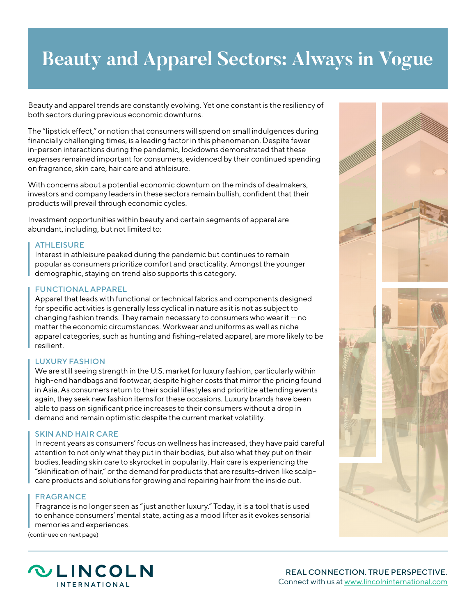# **Beauty and Apparel Sectors: Always in Vogue**

Beauty and apparel trends are constantly evolving. Yet one constant is the resiliency of both sectors during previous economic downturns.

The "lipstick effect," or notion that consumers will spend on small indulgences during financially challenging times, is a leading factor in this phenomenon. Despite fewer in-person interactions during the pandemic, lockdowns demonstrated that these expenses remained important for consumers, evidenced by their continued spending on fragrance, skin care, hair care and athleisure.

With concerns about a potential economic downturn on the minds of dealmakers, investors and company leaders in these sectors remain bullish, confident that their products will prevail through economic cycles.

Investment opportunities within beauty and certain segments of apparel are abundant, including, but not limited to:

## **ATHLEISURE**

Interest in athleisure peaked during the pandemic but continues to remain popular as consumers prioritize comfort and practicality. Amongst the younger demographic, staying on trend also supports this category.

## FUNCTIONAL APPAREL

Apparel that leads with functional or technical fabrics and components designed for specific activities is generally less cyclical in nature as it is not as subject to changing fashion trends. They remain necessary to consumers who wear it — no matter the economic circumstances. Workwear and uniforms as well as niche apparel categories, such as hunting and fishing-related apparel, are more likely to be resilient.

## LUXURY FASHION

We are still seeing strength in the U.S. market for luxury fashion, particularly within high-end handbags and footwear, despite higher costs that mirror the pricing found in Asia. As consumers return to their social lifestyles and prioritize attending events again, they seek new fashion items for these occasions. Luxury brands have been able to pass on significant price increases to their consumers without a drop in demand and remain optimistic despite the current market volatility.

### SKIN AND HAIR CARE

In recent years as consumers' focus on wellness has increased, they have paid careful attention to not only what they put in their bodies, but also what they put on their bodies, leading skin care to skyrocket in popularity. Hair care is experiencing the "skinification of hair," or the demand for products that are results-driven like scalpcare products and solutions for growing and repairing hair from the inside out.

### FRAGRANCE

Fragrance is no longer seen as " just another luxury." Today, it is a tool that is used to enhance consumers' mental state, acting as a mood lifter as it evokes sensorial memories and experiences.

(continued on next page)